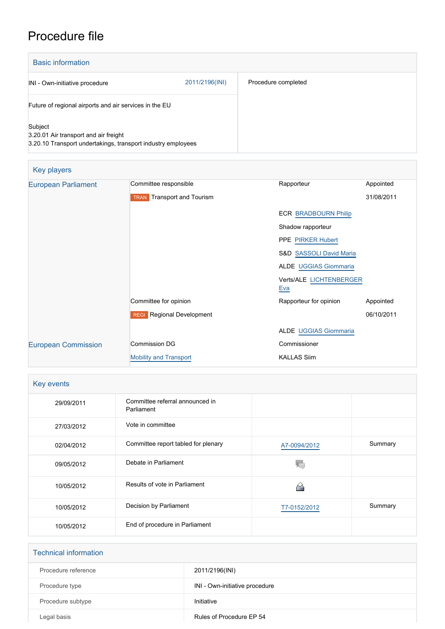# Procedure file

| <b>Basic information</b>                                                                                         |                |                     |
|------------------------------------------------------------------------------------------------------------------|----------------|---------------------|
| INI - Own-initiative procedure                                                                                   | 2011/2196(INI) | Procedure completed |
| Future of regional airports and air services in the EU                                                           |                |                     |
| Subject<br>3.20.01 Air transport and air freight<br>3.20.10 Transport undertakings, transport industry employees |                |                     |

| Key players                |                                   |                                    |            |  |
|----------------------------|-----------------------------------|------------------------------------|------------|--|
| <b>European Parliament</b> | Committee responsible             | Rapporteur                         | Appointed  |  |
|                            | <b>TRAN</b> Transport and Tourism |                                    | 31/08/2011 |  |
|                            |                                   | <b>ECR BRADBOURN Philip</b>        |            |  |
|                            |                                   | Shadow rapporteur                  |            |  |
|                            |                                   | <b>PPE PIRKER Hubert</b>           |            |  |
|                            |                                   | <b>S&amp;D SASSOLI David Maria</b> |            |  |
|                            |                                   | ALDE UGGIAS Giommaria              |            |  |
|                            |                                   | Verts/ALE LICHTENBERGER<br>Eva     |            |  |
|                            | Committee for opinion             | Rapporteur for opinion             | Appointed  |  |
|                            | <b>REGI</b> Regional Development  |                                    | 06/10/2011 |  |
|                            |                                   | <b>ALDE UGGIAS Giommaria</b>       |            |  |
| <b>European Commission</b> | <b>Commission DG</b>              | Commissioner                       |            |  |
|                            | <b>Mobility and Transport</b>     | <b>KALLAS Siim</b>                 |            |  |

| Key events |                                               |              |         |
|------------|-----------------------------------------------|--------------|---------|
| 29/09/2011 | Committee referral announced in<br>Parliament |              |         |
| 27/03/2012 | Vote in committee                             |              |         |
| 02/04/2012 | Committee report tabled for plenary           | A7-0094/2012 | Summary |
| 09/05/2012 | Debate in Parliament                          |              |         |
| 10/05/2012 | Results of vote in Parliament                 |              |         |
| 10/05/2012 | Decision by Parliament                        | T7-0152/2012 | Summary |
| 10/05/2012 | End of procedure in Parliament                |              |         |

| <b>Technical information</b> |                                |  |
|------------------------------|--------------------------------|--|
| Procedure reference          | 2011/2196(INI)                 |  |
| Procedure type               | INI - Own-initiative procedure |  |
| Procedure subtype            | Initiative                     |  |
| Legal basis                  | Rules of Procedure EP 54       |  |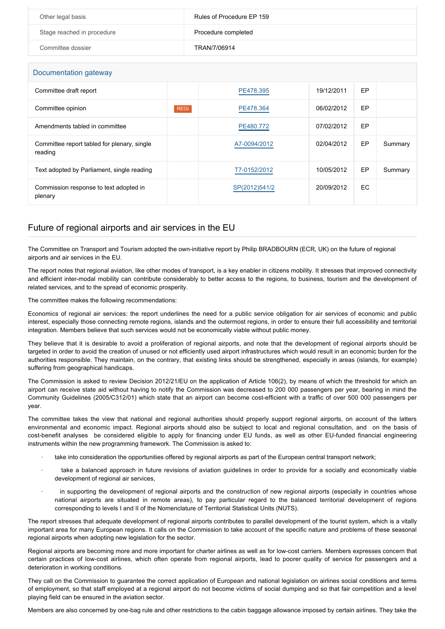| Other legal basis          | Rules of Procedure EP 159 |
|----------------------------|---------------------------|
| Stage reached in procedure | Procedure completed       |
| Committee dossier          | TRAN/7/06914              |

### Documentation gateway

| DUCUMU III UNUU YAIGWAY                                |             |               |            |     |         |
|--------------------------------------------------------|-------------|---------------|------------|-----|---------|
| Committee draft report                                 |             | PE478.395     | 19/12/2011 | EP  |         |
| Committee opinion                                      | <b>REGI</b> | PE478.364     | 06/02/2012 | EP  |         |
| Amendments tabled in committee                         |             | PE480.772     | 07/02/2012 | EP  |         |
| Committee report tabled for plenary, single<br>reading |             | A7-0094/2012  | 02/04/2012 | EP  | Summary |
| Text adopted by Parliament, single reading             |             | T7-0152/2012  | 10/05/2012 | EP  | Summary |
| Commission response to text adopted in<br>plenary      |             | SP(2012)541/2 | 20/09/2012 | EC. |         |

# Future of regional airports and air services in the EU

The Committee on Transport and Tourism adopted the own-initiative report by Philip BRADBOURN (ECR, UK) on the future of regional airports and air services in the EU.

The report notes that regional aviation, like other modes of transport, is a key enabler in citizens mobility. It stresses that improved connectivity and efficient inter-modal mobility can contribute considerably to better access to the regions, to business, tourism and the development of related services, and to the spread of economic prosperity.

#### The committee makes the following recommendations:

Economics of regional air services: the report underlines the need for a public service obligation for air services of economic and public interest, especially those connecting remote regions, islands and the outermost regions, in order to ensure their full accessibility and territorial integration. Members believe that such services would not be economically viable without public money.

They believe that it is desirable to avoid a proliferation of regional airports, and note that the development of regional airports should be targeted in order to avoid the creation of unused or not efficiently used airport infrastructures which would result in an economic burden for the authorities responsible. They maintain, on the contrary, that existing links should be strengthened, especially in areas (islands, for example) suffering from geographical handicaps.

The Commission is asked to review Decision 2012/21/EU on the application of Article 106(2), by means of which the threshold for which an airport can receive state aid without having to notify the Commission was decreased to 200 000 passengers per year, bearing in mind the Community Guidelines (2005/C312/01) which state that an airport can become cost-efficient with a traffic of over 500 000 passengers per year.

The committee takes the view that national and regional authorities should properly support regional airports, on account of the latters environmental and economic impact. Regional airports should also be subject to local and regional consultation, and on the basis of cost-benefit analyses be considered eligible to apply for financing under EU funds, as well as other EU-funded financial engineering instruments within the new programming framework. The Commission is asked to:

- take into consideration the opportunities offered by regional airports as part of the European central transport network;
- take a balanced approach in future revisions of aviation guidelines in order to provide for a socially and economically viable development of regional air services,
- in supporting the development of regional airports and the construction of new regional airports (especially in countries whose national airports are situated in remote areas), to pay particular regard to the balanced territorial development of regions corresponding to levels I and II of the Nomenclature of Territorial Statistical Units (NUTS).

The report stresses that adequate development of regional airports contributes to parallel development of the tourist system, which is a vitally important area for many European regions. It calls on the Commission to take account of the specific nature and problems of these seasonal regional airports when adopting new legislation for the sector.

Regional airports are becoming more and more important for charter airlines as well as for low-cost carriers. Members expresses concern that certain practices of low-cost airlines, which often operate from regional airports, lead to poorer quality of service for passengers and a deterioration in working conditions.

They call on the Commission to guarantee the correct application of European and national legislation on airlines social conditions and terms of employment, so that staff employed at a regional airport do not become victims of social dumping and so that fair competition and a level playing field can be ensured in the aviation sector.

Members are also concerned by one-bag rule and other restrictions to the cabin baggage allowance imposed by certain airlines. They take the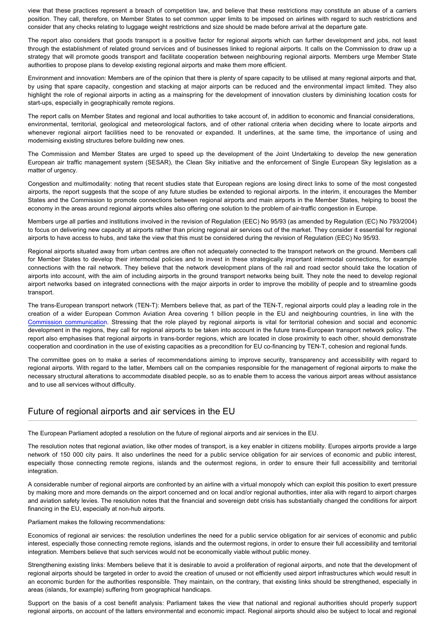view that these practices represent a breach of competition law, and believe that these restrictions may constitute an abuse of a carriers position. They call, therefore, on Member States to set common upper limits to be imposed on airlines with regard to such restrictions and consider that any checks relating to luggage weight restrictions and size should be made before arrival at the departure gate.

The report also considers that goods transport is a positive factor for regional airports which can further development and jobs, not least through the establishment of related ground services and of businesses linked to regional airports. It calls on the Commission to draw up a strategy that will promote goods transport and facilitate cooperation between neighbouring regional airports. Members urge Member State authorities to propose plans to develop existing regional airports and make them more efficient.

Environment and innovation: Members are of the opinion that there is plenty of spare capacity to be utilised at many regional airports and that, by using that spare capacity, congestion and stacking at major airports can be reduced and the environmental impact limited. They also highlight the role of regional airports in acting as a mainspring for the development of innovation clusters by diminishing location costs for start-ups, especially in geographically remote regions.

The report calls on Member States and regional and local authorities to take account of, in addition to economic and financial considerations, environmental, territorial, geological and meteorological factors, and of other rational criteria when deciding where to locate airports and whenever regional airport facilities need to be renovated or expanded. It underlines, at the same time, the importance of using and modernising existing structures before building new ones.

The Commission and Member States are urged to speed up the development of the Joint Undertaking to develop the new generation European air traffic management system (SESAR), the Clean Sky initiative and the enforcement of Single European Sky legislation as a matter of urgency.

Congestion and multimodality: noting that recent studies state that European regions are losing direct links to some of the most congested airports, the report suggests that the scope of any future studies be extended to regional airports. In the interim, it encourages the Member States and the Commission to promote connections between regional airports and main airports in the Member States, helping to boost the economy in the areas around regional airports whiles also offering one solution to the problem of air-traffic congestion in Europe.

Members urge all parties and institutions involved in the revision of Regulation (EEC) No 95/93 (as amended by Regulation (EC) No 793/2004) to focus on delivering new capacity at airports rather than pricing regional air services out of the market. They consider it essential for regional airports to have access to hubs, and take the view that this must be considered during the revision of Regulation (EEC) No 95/93.

Regional airports situated away from urban centres are often not adequately connected to the transport network on the ground. Members call for Member States to develop their intermodal policies and to invest in these strategically important intermodal connections, for example connections with the rail network. They believe that the network development plans of the rail and road sector should take the location of airports into account, with the aim of including airports in the ground transport networks being built. They note the need to develop regional airport networks based on integrated connections with the major airports in order to improve the mobility of people and to streamline goods transport.

The trans-European transport network (TEN-T): Members believe that, as part of the TEN-T, regional airports could play a leading role in the creation of a wider European Common Aviation Area covering 1 billion people in the EU and neighbouring countries, in line with the [Commission communication](http://www.eur-lex.europa.eu/LexUriServ/LexUriServ.do?uri=COM:2011:0415:FIN:EN:PDF). Stressing that the role played by regional airports is vital for territorial cohesion and social and economic development in the regions, they call for regional airports to be taken into account in the future trans-European transport network policy. The report also emphasises that regional airports in trans-border regions, which are located in close proximity to each other, should demonstrate cooperation and coordination in the use of existing capacities as a precondition for EU co-financing by TEN-T, cohesion and regional funds.

The committee goes on to make a series of recommendations aiming to improve security, transparency and accessibility with regard to regional airports. With regard to the latter, Members call on the companies responsible for the management of regional airports to make the necessary structural alterations to accommodate disabled people, so as to enable them to access the various airport areas without assistance and to use all services without difficulty.

## Future of regional airports and air services in the EU

The European Parliament adopted a resolution on the future of regional airports and air services in the EU.

The resolution notes that regional aviation, like other modes of transport, is a key enabler in citizens mobility. Europes airports provide a large network of 150 000 city pairs. It also underlines the need for a public service obligation for air services of economic and public interest, especially those connecting remote regions, islands and the outermost regions, in order to ensure their full accessibility and territorial integration.

A considerable number of regional airports are confronted by an airline with a virtual monopoly which can exploit this position to exert pressure by making more and more demands on the airport concerned and on local and/or regional authorities, inter alia with regard to airport charges and aviation safety levies. The resolution notes that the financial and sovereign debt crisis has substantially changed the conditions for airport financing in the EU, especially at non-hub airports.

#### Parliament makes the following recommendations:

Economics of regional air services: the resolution underlines the need for a public service obligation for air services of economic and public interest, especially those connecting remote regions, islands and the outermost regions, in order to ensure their full accessibility and territorial integration. Members believe that such services would not be economically viable without public money.

Strengthening existing links: Members believe that it is desirable to avoid a proliferation of regional airports, and note that the development of regional airports should be targeted in order to avoid the creation of unused or not efficiently used airport infrastructures which would result in an economic burden for the authorities responsible. They maintain, on the contrary, that existing links should be strengthened, especially in areas (islands, for example) suffering from geographical handicaps.

Support on the basis of a cost benefit analysis: Parliament takes the view that national and regional authorities should properly support regional airports, on account of the latters environmental and economic impact. Regional airports should also be subject to local and regional